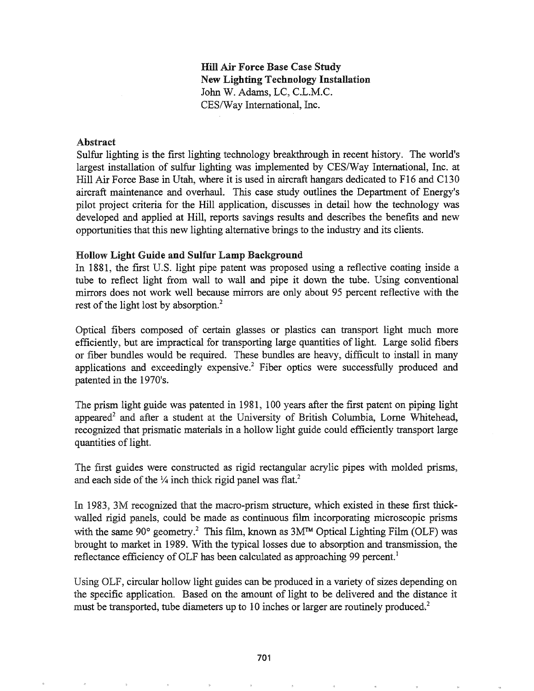# Hill Air Force Base Case Study New Lighting Technology Installation John W. Adams, LC, C.L.M.C. CES/Way International, Inc.

#### Abstract

Sulfur lighting is the first lighting technology breakthrough in recent history. The world's largest installation of sulfur lighting was implemented by CES/Way International, Inc. at Hill Air Force Base in Utah, where it is used in aircraft hangars dedicated to F16 and C130 aircraft maintenance and overhaul. This case study outlines the Department of Energy's pilot project criteria for the Hill application, discusses in detail how the technology was developed and applied at Hill, reports savings results and describes the benefits and new opportunities that this new lighting alternative brings to the industry and its clients.

#### Hollow Light Guide and Sulfur Lamp Background

In 1881, the first U.S. light pipe patent was proposed using a reflective coating inside a tube to reflect light from wall to wall and pipe it down the tube. Using conventional mirrors does not work well because mirrors are only about 95 percent reflective with the rest of the light lost by absorption. $<sup>2</sup>$ </sup>

Optical fibers composed of certain glasses or plastics can transport light much more efficiently, but are impractical for transporting large quantities of light. Large solid fibers or fiber bundles would be required. These bundles are heavy, difficult to install in many applications and exceedingly expensive.<sup>2</sup> Fiber optics were successfully produced and patented in the 1970's.

The prism light guide was patented in 1981, 100 years after the first patent on piping light appeared<sup>2</sup> and after a student at the University of British Columbia, Lorne Whitehead, recognized that prismatic materials in a hollow light guide could efficiently transport large quantities of light.

The first guides were constructed as rigid rectangular acrylic pipes with molded prisms, and each side of the  $\frac{1}{4}$  inch thick rigid panel was flat.<sup>2</sup>

In 1983, 3M recognized that the macro-prism structure, which existed in these first thickwalled rigid panels, could be made as continuous film incorporating microscopic prisms with the same  $90^{\circ}$  geometry.<sup>2</sup> This film, known as  $3M<sup>TM</sup>$  Optical Lighting Film (OLF) was brought to market in 1989. With the typical losses due to absorption and transmission, the reflectance efficiency of OLF has been calculated as approaching 99 percent.<sup>1</sup>

Using OLF, circular hollow light guides can be produced in a variety of sizes depending on the specific application. Based on the amount of light to be delivered and the distance it must be transported, tube diameters up to 10 inches or larger are routinely produced.<sup>2</sup>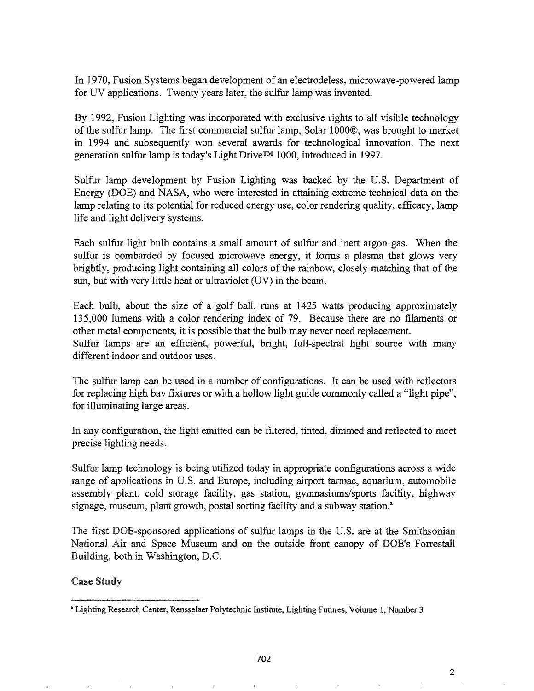In 1970, Fusion Systems began development of an electrodeless, microwave-powered lamp for UV applications. Twenty years later, the sulfur lamp was invented.

By 1992, Fusion Lighting was incorporated with exclusive rights to all visible technology of the sulfur lamp. The first commercial sulfur lamp, Solar 1000®, was brought to market in 1994 and subsequently won several awards for technological innovation. The next generation sulfur lamp is today's Light Drive™ 1000, introduced in 1997.

Sulfur lamp development by Fusion Lighting was backed by the U.S. Department of Energy (DOE) and NASA, who were interested in attaining extreme technical data on the lamp relating to its potential for reduced energy use, color rendering quality, efficacy, lamp life and light delivery systems.

Each sulfur light bulb contains a small amount of sulfur and inert argon gas. When the sulfur is bombarded by focused microwave energy, it forms a plasma that glows very brightly, producing light containing all colors of the rainbow, closely matching that of the sun, but with very little heat or ultraviolet (UV) in the beam.

Each bulb, about the size of a golf ball, runs at 1425 watts producing approximately 135,000 lumens with a color rendering index of 79. Because there are no filaments or other metal components, it is possible that the bulb may never need replacement. Sulfur lamps are an efficient, powerful, bright, full-spectral light source with many different indoor and outdoor uses.

The sulfur lamp can be used in a number of configurations. It can be used with reflectors for replacing high bay fixtures or with a hollow light guide commonly called a "light pipe", for illuminating large areas.

In any configuration, the light emitted can be filtered, tinted, dimmed and reflected to meet precise lighting needs.

Sulfur lamp technology is being utilized today in appropriate configurations across a wide range of applications in U.S. and Europe, including airport tarmac, aquarium, automobile assembly plant, cold storage facility, gas station, gymnasiums/sports facility, highway signage, museum, plant growth, postal sorting facility and a subway station.<sup>a</sup>

The first DOE-sponsored applications of sulfur lamps in the U.S. are at the Smithsonian National Air and Space Museum and on the outside front canopy of DOE's Forrestall Building, both in Washington, D.C.

Case Study

2

<sup>&</sup>lt;sup>a</sup> Lighting Research Center, Rensselaer Polytechnic Institute, Lighting Futures, Volume 1, Number 3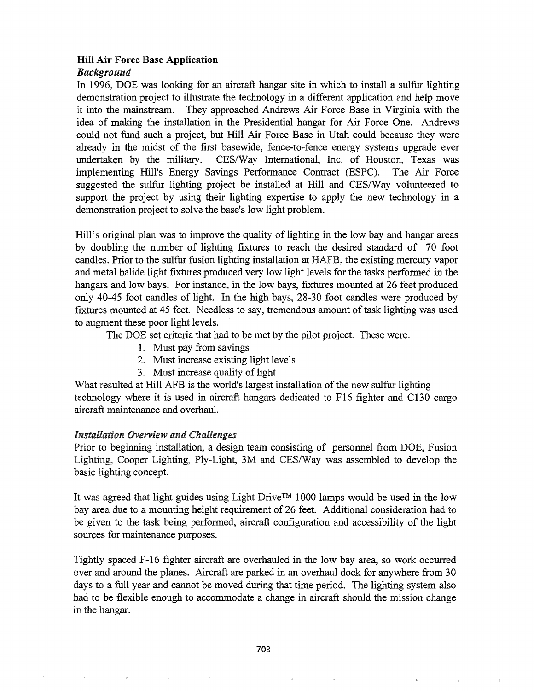### Hill Air Force Base Application

### *Background*

In 1996, DOE was looking for an aircraft hangar site in which to install a sulfur lighting demonstration project to illustrate the technology in a different application and help move it into the mainstream. They approached Andrews Air Force Base in Virginia with the idea of making the installation in the Presidential hangar for Air Force One. Andrews could not fund such a project, but Hill Air Force Base in Utah could because they were already in the midst of the first basewide, fence-to-fence energy systems upgrade ever undertaken by the military. CES/Way International, Inc. of Houston, Texas was implementing Hill's Energy Savings Performance Contract (ESPC). The Air Force suggested the sulfur lighting project be installed at Hill and CES/Way volunteered to support the project by using their lighting expertise to apply the new technology in a demonstration project to solve the base's low light problem.

Hill's original plan was to improve the quality of lighting in the low bay and hangar areas by doubling the number of lighting fixtures to reach the desired standard of 70 foot candles. Prior to the sulfur fusion lighting installation at HAFB, the existing mercury vapor and metal halide light fixtures produced very low light levels for the tasks performed in the hangars and low bays. For instance, in the low bays, fixtures mounted at 26 feet produced only 40-45 foot candles of light. In the high bays, 28-30 foot candles were produced by fixtures mounted at 45 feet. Needless to say, tremendous amount of task lighting was used to augment these poor light levels.

The DOE set criteria that had to be met by the pilot project. These were:

- 1. Must pay from savings
- 2. Must increase existing light levels
- 3. Must increase quality of light

What resulted at Hill AFB is the world's largest installation of the new sulfur lighting technology where it is used in aircraft hangars dedicated to F16 fighter and C130 cargo aircraft maintenance and overhaul.

### *Installation Overview and Challenges*

Prior to beginning installation, a design team consisting of personnel from DOE, Fusion Lighting, Cooper Lighting, Ply-Light, 3M and CES/Way was assembled to develop the basic lighting concept.

It was agreed that light guides using Light Drive™ 1000 lamps would be used in the low bay area due to a mounting height requirement of 26 feet. Additional consideration had to be given to the task being performed, aircraft configuration and accessibility of the light sources for maintenance purposes.

Tightly spaced F-16 fighter aircraft are overhauled in the low bay area, so work occurred over and around the planes. Aircraft are parked in an overhaul dock for anywhere from 30 days to a full year and cannot be moved during that time period. The lighting system also had to be flexible enough to accommodate a change in aircraft should the mission change in the hangar.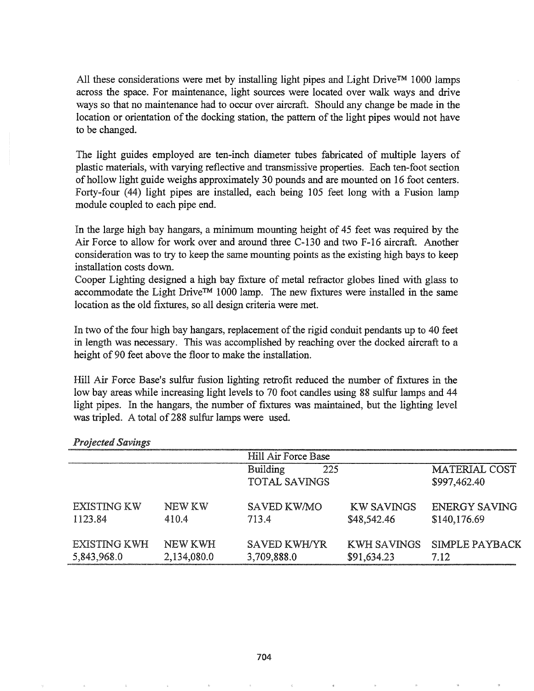All these considerations were met by installing light pipes and Light Drive™ 1000 lamps across the space. For maintenance, light sources were located over walk ways and drive ways so that no maintenance had to occur over aircraft. Should any change be made in the location or orientation of the docking station, the pattern of the light pipes would not have to be changed.

The light guides employed are ten-inch diameter tubes fabricated of multiple layers of plastic materials, with varying reflective and transmissive properties. Each ten-foot section of hollow light guide weighs approximately 30 pounds and are mounted on 16 foot centers. Forty-four (44) light pipes are installed, each being 105 feet long with a Fusion lamp module coupled to each pipe end.

In the large high bay hangars, a minimum mounting height of 45 feet was required by the Air Force to allow for work over and around three C-130 and two F-16 aircraft. Another consideration was to try to keep the same mounting points as the existing high bays to keep installation costs down.

Cooper Lighting designed a high bay fixture of metal refractor globes lined with glass to accommodate the Light Drive™ 1000 lamp. The new fixtures were installed in the same location as the old fixtures, so all design criteria were met.

In two of the four high bay hangars, replacement of the rigid conduit pendants up to 40 feet in length was necessary. This was accomplished by reaching over the docked aircraft to a height of 90 feet above the floor to make the installation.

Hill Air Force Base's sulfur fusion lighting retrofit reduced the number of fixtures in the low bay areas while increasing light levels to 70 foot candles using 88 sulfur lamps and 44 light pipes. In the hangars, the number of fixtures was maintained, but the lighting level was tripled. A total of 288 sulfur lamps were used.

|                     |             | Hill Air Force Base  |                    |                      |
|---------------------|-------------|----------------------|--------------------|----------------------|
|                     |             | Building<br>225      |                    | MATERIAL COST        |
|                     |             | <b>TOTAL SAVINGS</b> |                    | \$997,462.40         |
| <b>EXISTING KW</b>  | NEW KW      | SAVED KW/MO          | <b>KW SAVINGS</b>  | <b>ENERGY SAVING</b> |
| 1123.84             | 410.4       | 713.4                | \$48,542.46        | \$140,176.69         |
| <b>EXISTING KWH</b> | NEW KWH     | <b>SAVED KWH/YR</b>  | <b>KWH SAVINGS</b> | SIMPLE PAYBACK       |
| 5,843,968.0         | 2,134,080.0 | 3,709,888.0          | \$91,634.23        | 7.12                 |

#### **Projected Savings**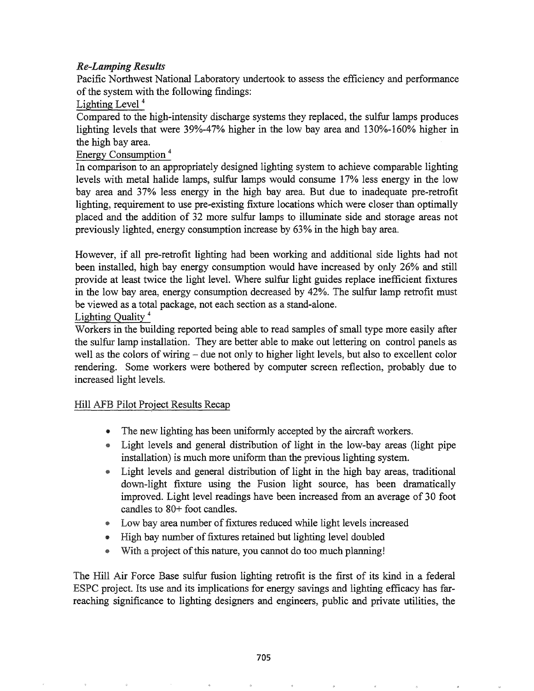# *Re-Lamping Results*

Pacific Northwest National Laboratory undertook to assess the efficiency and performance of the system with the following findings:

Lighting Level<sup>4</sup>

Compared to the high-intensity discharge systems they replaced, the sulfur lamps produces lighting levels that were 39%-47% higher in the low bay area and 130%-160% higher in the high bay area.

## Energy Consumption <sup>4</sup>

In comparison to an appropriately designed lighting system to achieve comparable lighting levels with metal halide lamps, sulfur lamps would consume 17% less energy in the low bay area and 37% less energy in the high bay area. But due to inadequate pre-retrofit lighting, requirement to use pre-existing fixture locations which were closer than optimally placed and the addition of 32 more sulfur lamps to illuminate side and storage areas not previously lighted, energy consumption increase by 63% in the high bay area.

However, if all pre-retrofit lighting had been working and additional side lights had not been installed, high bay energy consumption would have increased by only 26% and still provide at least twice the light level. Where sulfur light guides replace inefficient fixtures in the low bay area, energy consumption decreased by 42%. The sulfur lamp retrofit must be viewed as a total package, not each section as a stand-alone.

## Lighting Quality <sup>4</sup>

Workers in the building reported being able to read samples of small type more easily after the sulfur lamp installation. They are better able to make out lettering on control panels as well as the colors of wiring – due not only to higher light levels, but also to excellent color rendering. Some workers were bothered by computer screen reflection, probably due to increased light levels.

# Hill AFB Pilot Project Results Recap

- The new lighting has been uniformly accepted by the aircraft workers.
- @ Light levels and general distribution of light in the low-bay areas (light pipe installation) is much more uniform than the previous lighting system.
- Light levels and general distribution of light in the high bay areas, traditional down-light fixture using the Fusion light source, has been dramatically improved. Light level readings have been increased from an average of 30 foot candles to 80+ foot candles.
- Low bay area number of fixtures reduced while light levels increased
- High bay number of fixtures retained but lighting level doubled
- With a project of this nature, you cannot do too much planning!

The Hill Air Force Base sulfur fusion lighting retrofit is the first of its kind in a federal ESPC project. Its use and its implications for energy savings and lighting efficacy has farreaching significance to lighting designers and engineers, public and private utilities, the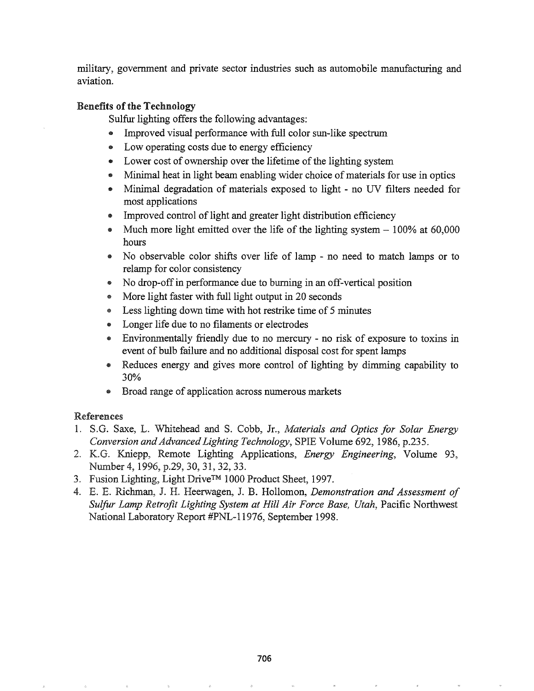military, government and private sector industries such as automobile manufacturing and aviation.

### Benefits of the Technology

Sulfur lighting offers the following advantages:

- .. Improved visual performance with full color sun-like spectrum
- Low operating costs due to energy efficiency
- Lower cost of ownership over the lifetime of the lighting system
- Minimal heat in light beam enabling wider choice of materials for use in optics
- .. Minimal degradation of materials exposed to light no UV filters needed for most applications
- Improved control of light and greater light distribution efficiency
- $\bullet$  Much more light emitted over the life of the lighting system  $-100\%$  at 60,000 hours
- No observable color shifts over life of lamp no need to match lamps or to relamp for color consistency
- .. No drop-offin performance due to burning in an off-vertical position
- e More light faster with full light output in 20 seconds
- e Less lighting down time with hot restrike time of 5 minutes
- Longer life due to no filaments or electrodes
- @ Environmentally friendly due to no mercury no risk of exposure to toxins in event of bulb failure and no additional disposal cost for spent lamps
- Reduces energy and gives more control of lighting by dimming capability to 30%
- Broad range of application across numerous markets

# References

- 1. S.G. Saxe, L. Whitehead and S. Cobb, Jr., *Materials and Optics for Solar Energy Conversion and Advanced Lighting Technology, SPIE Volume 692, 1986, p.235.*
- 2. K.G. Kniepp, Remote Lighting Applications, *Energy Engineering*, Volume 93, Number 4, 1996, p.29, 30, 31, 32, 33.
- 3. Fusion Lighting, Light Drive™ 1000 Product Sheet, 1997.
- E. Richman, J. H. Heerwagen, J. B. Hollomon, *Demonstration and Assessment of Sulfur Lamp Retrofit Lighting System at Hill Air Force Base, Utah,* Pacific Northwest National Laboratory Report #PNL-11976, September 1998.